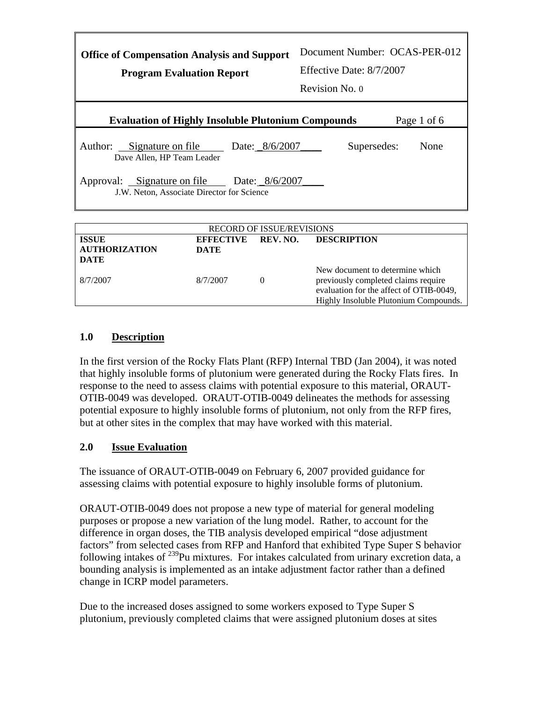| <b>Office of Compensation Analysis and Support</b><br><b>Program Evaluation Report</b>        | Document Number: OCAS-PER-012<br>Effective Date: 8/7/2007<br>Revision No. 0 |  |  |
|-----------------------------------------------------------------------------------------------|-----------------------------------------------------------------------------|--|--|
| <b>Evaluation of Highly Insoluble Plutonium Compounds</b>                                     | Page 1 of 6                                                                 |  |  |
| Author: Signature on file<br>Date: 8/6/2007<br>Dave Allen, HP Team Leader                     | Supersedes:<br>None                                                         |  |  |
| Approval: Signature on file<br>Date: $8/6/2007$<br>J.W. Neton, Associate Director for Science |                                                                             |  |  |
| <u>DECODD OF IGGUE DEUIGIONG</u>                                                              |                                                                             |  |  |

| <b>RECORD OF ISSUE/REVISIONS</b>     |                          |          |                                                                                                                                                            |
|--------------------------------------|--------------------------|----------|------------------------------------------------------------------------------------------------------------------------------------------------------------|
| <b>ISSUE</b><br><b>AUTHORIZATION</b> | <b>EFFECTIVE</b><br>DATE | REV. NO. | <b>DESCRIPTION</b>                                                                                                                                         |
| <b>DATE</b>                          |                          |          |                                                                                                                                                            |
| 8/7/2007                             | 8/7/2007                 | $\theta$ | New document to determine which<br>previously completed claims require<br>evaluation for the affect of OTIB-0049,<br>Highly Insoluble Plutonium Compounds. |

# **1.0 Description**

In the first version of the Rocky Flats Plant (RFP) Internal TBD (Jan 2004), it was noted that highly insoluble forms of plutonium were generated during the Rocky Flats fires. In response to the need to assess claims with potential exposure to this material, ORAUT-OTIB-0049 was developed. ORAUT-OTIB-0049 delineates the methods for assessing potential exposure to highly insoluble forms of plutonium, not only from the RFP fires, but at other sites in the complex that may have worked with this material.

# **2.0 Issue Evaluation**

The issuance of ORAUT-OTIB-0049 on February 6, 2007 provided guidance for assessing claims with potential exposure to highly insoluble forms of plutonium.

ORAUT-OTIB-0049 does not propose a new type of material for general modeling purposes or propose a new variation of the lung model. Rather, to account for the difference in organ doses, the TIB analysis developed empirical "dose adjustment factors" from selected cases from RFP and Hanford that exhibited Type Super S behavior following intakes of  $^{239}$ Pu mixtures. For intakes calculated from urinary excretion data, a bounding analysis is implemented as an intake adjustment factor rather than a defined change in ICRP model parameters.

Due to the increased doses assigned to some workers exposed to Type Super S plutonium, previously completed claims that were assigned plutonium doses at sites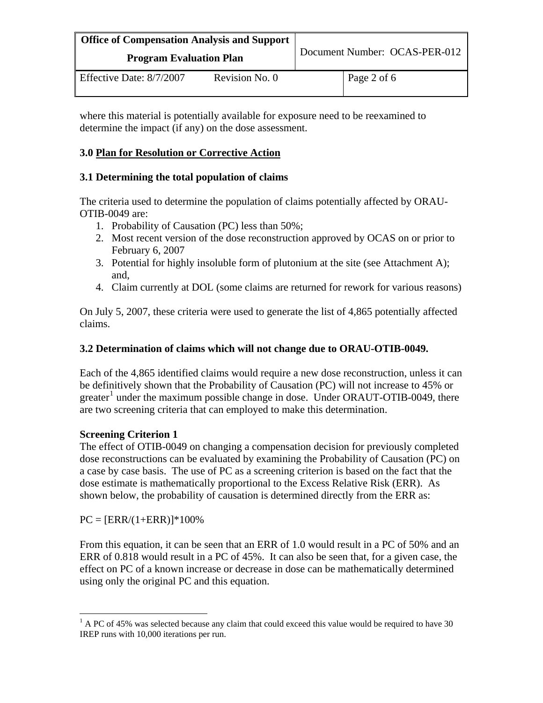| <b>Office of Compensation Analysis and Support</b><br><b>Program Evaluation Plan</b> |                | Document Number: OCAS-PER-012 |             |
|--------------------------------------------------------------------------------------|----------------|-------------------------------|-------------|
| Effective Date: 8/7/2007                                                             | Revision No. 0 |                               | Page 2 of 6 |

where this material is potentially available for exposure need to be reexamined to determine the impact (if any) on the dose assessment.

# **3.0 Plan for Resolution or Corrective Action**

# **3.1 Determining the total population of claims**

The criteria used to determine the population of claims potentially affected by ORAU-OTIB-0049 are:

- 1. Probability of Causation (PC) less than 50%;
- 2. Most recent version of the dose reconstruction approved by OCAS on or prior to February 6, 2007
- 3. Potential for highly insoluble form of plutonium at the site (see Attachment A); and,
- 4. Claim currently at DOL (some claims are returned for rework for various reasons)

On July 5, 2007, these criteria were used to generate the list of 4,865 potentially affected claims.

#### **3.2 Determination of claims which will not change due to ORAU-OTIB-0049.**

Each of the 4,865 identified claims would require a new dose reconstruction, unless it can be definitively shown that the Probability of Causation (PC) will not increase to 45% or greater<sup>[1](#page-1-0)</sup> under the maximum possible change in dose. Under ORAUT-OTIB-0049, there are two screening criteria that can employed to make this determination.

# **Screening Criterion 1**

The effect of OTIB-0049 on changing a compensation decision for previously completed dose reconstructions can be evaluated by examining the Probability of Causation (PC) on a case by case basis. The use of PC as a screening criterion is based on the fact that the dose estimate is mathematically proportional to the Excess Relative Risk (ERR). As shown below, the probability of causation is determined directly from the ERR as:

 $PC = [ERR/(1+ERR)]*100\%$ 

 $\overline{a}$ 

From this equation, it can be seen that an ERR of 1.0 would result in a PC of 50% and an ERR of 0.818 would result in a PC of 45%. It can also be seen that, for a given case, the effect on PC of a known increase or decrease in dose can be mathematically determined using only the original PC and this equation.

<span id="page-1-0"></span> $1$  A PC of 45% was selected because any claim that could exceed this value would be required to have 30 IREP runs with 10,000 iterations per run.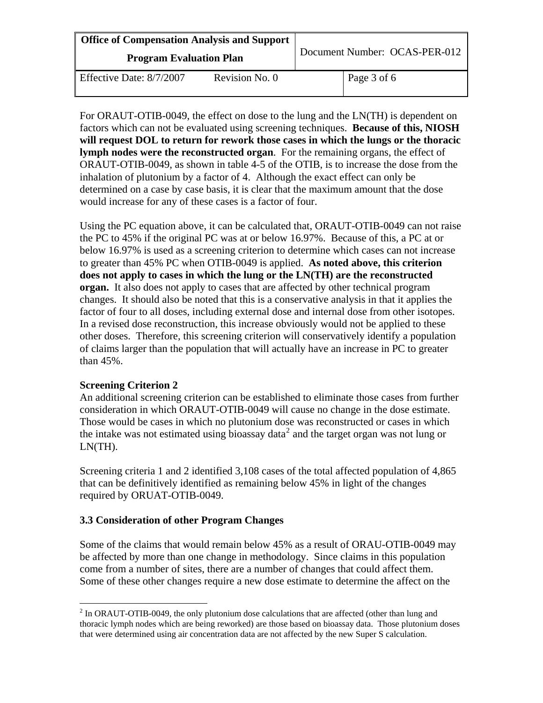| <b>Office of Compensation Analysis and Support</b><br><b>Program Evaluation Plan</b> |                | Document Number: OCAS-PER-012 |             |
|--------------------------------------------------------------------------------------|----------------|-------------------------------|-------------|
| Effective Date: 8/7/2007                                                             | Revision No. 0 |                               | Page 3 of 6 |

For ORAUT-OTIB-0049, the effect on dose to the lung and the LN(TH) is dependent on factors which can not be evaluated using screening techniques. **Because of this, NIOSH will request DOL to return for rework those cases in which the lungs or the thoracic lymph nodes were the reconstructed organ**. For the remaining organs, the effect of ORAUT-OTIB-0049, as shown in table 4-5 of the OTIB, is to increase the dose from the inhalation of plutonium by a factor of 4. Although the exact effect can only be determined on a case by case basis, it is clear that the maximum amount that the dose would increase for any of these cases is a factor of four.

Using the PC equation above, it can be calculated that, ORAUT-OTIB-0049 can not raise the PC to 45% if the original PC was at or below 16.97%. Because of this, a PC at or below 16.97% is used as a screening criterion to determine which cases can not increase to greater than 45% PC when OTIB-0049 is applied. **As noted above, this criterion does not apply to cases in which the lung or the LN(TH) are the reconstructed organ.** It also does not apply to cases that are affected by other technical program changes. It should also be noted that this is a conservative analysis in that it applies the factor of four to all doses, including external dose and internal dose from other isotopes. In a revised dose reconstruction, this increase obviously would not be applied to these other doses. Therefore, this screening criterion will conservatively identify a population of claims larger than the population that will actually have an increase in PC to greater than 45%.

#### **Screening Criterion 2**

An additional screening criterion can be established to eliminate those cases from further consideration in which ORAUT-OTIB-0049 will cause no change in the dose estimate. Those would be cases in which no plutonium dose was reconstructed or cases in which the intake was not estimated using bioassay data<sup>[2](#page-2-0)</sup> and the target organ was not lung or LN(TH).

Screening criteria 1 and 2 identified 3,108 cases of the total affected population of 4,865 that can be definitively identified as remaining below 45% in light of the changes required by ORUAT-OTIB-0049.

# **3.3 Consideration of other Program Changes**

Some of the claims that would remain below 45% as a result of ORAU-OTIB-0049 may be affected by more than one change in methodology. Since claims in this population come from a number of sites, there are a number of changes that could affect them. Some of these other changes require a new dose estimate to determine the affect on the

<span id="page-2-0"></span> $\overline{a}$  $2 \text{ In ORAUT-OTIB-0049, the only photonium dose calculations that are affected (other than lung and$ thoracic lymph nodes which are being reworked) are those based on bioassay data. Those plutonium doses that were determined using air concentration data are not affected by the new Super S calculation.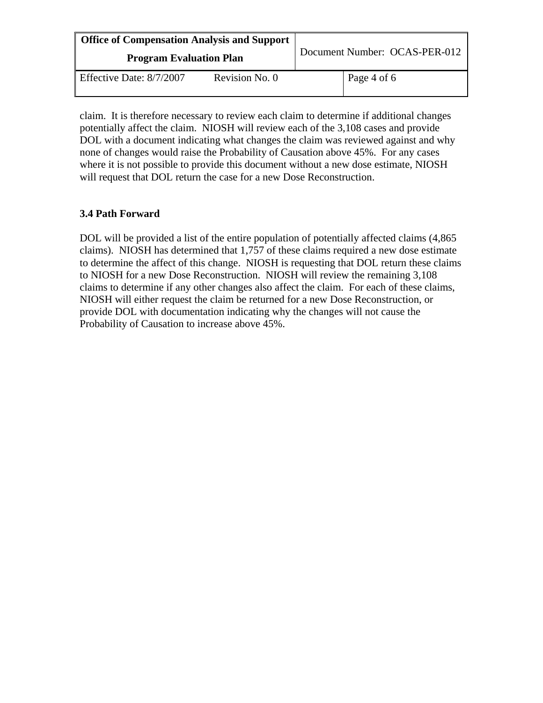| <b>Office of Compensation Analysis and Support</b><br><b>Program Evaluation Plan</b> |                | Document Number: OCAS-PER-012 |             |
|--------------------------------------------------------------------------------------|----------------|-------------------------------|-------------|
| Effective Date: 8/7/2007                                                             | Revision No. 0 |                               | Page 4 of 6 |

claim. It is therefore necessary to review each claim to determine if additional changes potentially affect the claim. NIOSH will review each of the 3,108 cases and provide DOL with a document indicating what changes the claim was reviewed against and why none of changes would raise the Probability of Causation above 45%. For any cases where it is not possible to provide this document without a new dose estimate, NIOSH will request that DOL return the case for a new Dose Reconstruction.

# **3.4 Path Forward**

DOL will be provided a list of the entire population of potentially affected claims (4,865 claims). NIOSH has determined that 1,757 of these claims required a new dose estimate to determine the affect of this change. NIOSH is requesting that DOL return these claims to NIOSH for a new Dose Reconstruction. NIOSH will review the remaining 3,108 claims to determine if any other changes also affect the claim. For each of these claims, NIOSH will either request the claim be returned for a new Dose Reconstruction, or provide DOL with documentation indicating why the changes will not cause the Probability of Causation to increase above 45%.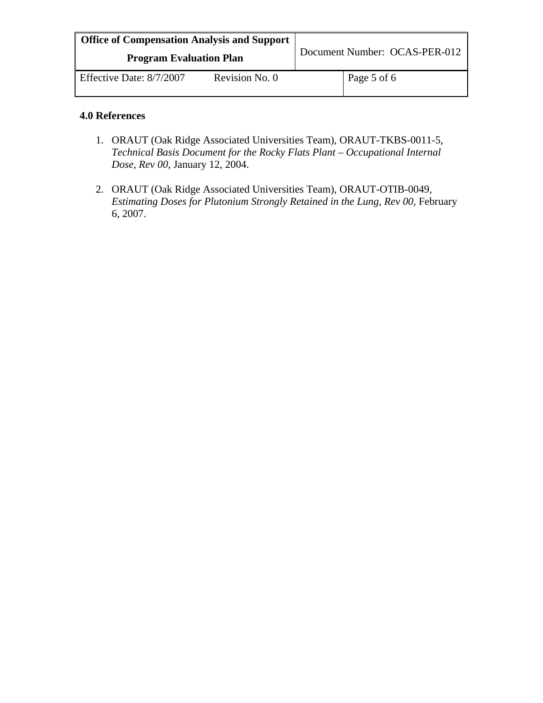| <b>Office of Compensation Analysis and Support</b><br><b>Program Evaluation Plan</b> |                | Document Number: OCAS-PER-012 |             |
|--------------------------------------------------------------------------------------|----------------|-------------------------------|-------------|
|                                                                                      |                |                               |             |
| Effective Date: 8/7/2007                                                             | Revision No. 0 |                               | Page 5 of 6 |

#### **4.0 References**

- 1. ORAUT (Oak Ridge Associated Universities Team), ORAUT-TKBS-0011-5, *Technical Basis Document for the Rocky Flats Plant – Occupational Internal Dose, Rev 00*, January 12, 2004.
- 2. ORAUT (Oak Ridge Associated Universities Team), ORAUT-OTIB-0049, *Estimating Doses for Plutonium Strongly Retained in the Lung, Rev 00*, February 6, 2007.